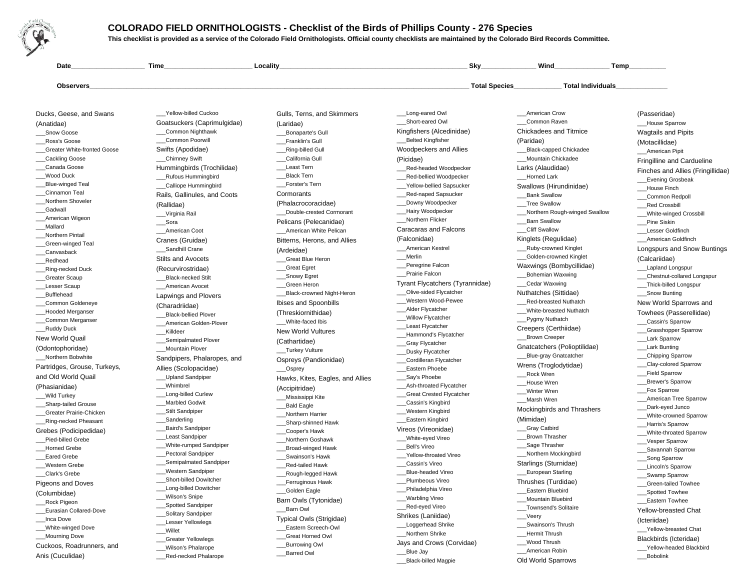**COLORADO FIELD ORNITHOLOGISTS - Checklist of the Birds of Phillips County - 276 Species**



**This checklist is provided as a service of the Colorado Field Ornithologists. Official county checklists are maintained by the Colorado Bird Records Committee.** 

**Date\_\_\_\_\_\_\_\_\_\_\_\_\_\_\_\_\_\_\_\_ Time\_\_\_\_\_\_\_\_\_\_\_\_\_\_\_\_\_\_\_\_\_\_\_\_ Locality\_\_\_\_\_\_\_\_\_\_\_\_\_\_\_\_\_\_\_\_\_\_\_\_\_\_\_\_\_\_\_\_\_\_\_\_\_\_\_\_\_\_\_\_\_\_\_\_\_\_\_ Sky\_\_\_\_\_\_\_\_\_\_\_\_\_\_\_ Wind\_\_\_\_\_\_\_\_\_\_\_\_\_\_\_ Temp\_\_\_\_\_\_\_\_\_\_Observers\_\_\_\_\_\_\_\_\_\_\_\_\_\_\_\_\_\_\_\_\_\_\_\_\_\_\_\_\_\_\_\_\_\_\_\_\_\_\_\_\_\_\_\_\_\_\_\_\_\_\_\_\_\_\_\_\_\_\_\_\_\_\_\_\_\_\_\_\_\_\_\_\_\_\_\_\_\_\_\_\_\_\_\_\_\_\_\_\_\_\_\_\_\_\_\_\_\_\_\_\_\_\_ Total Species\_\_\_\_\_\_\_\_\_\_\_\_\_ Total Individuals\_\_\_\_\_\_\_\_\_\_\_\_\_\_**Ducks, Geese, and Swans(Anatidae)Snow Goose \_\_\_Ross's Goose \_\_\_Greater White-fronted Goose\_\_\_Cackling Goose \_\_\_Canada Goose\_\_\_Wood Duck\_\_\_Blue-winged Teal \_\_\_Cinnamon Teal\_\_\_Northern Shoveler\_\_\_Gadwall \_\_\_American Wigeon\_\_\_Mallard \_\_\_Northern Pintail\_\_\_Green-winged Teal\_\_\_Canvasback\_\_\_Redhead\_\_Ring-necked Duck \_\_\_Greater ScaupLesser Scaup \_\_\_Bufflehead \_\_\_Common Goldeneye \_\_\_Hooded Merganser\_\_\_Common Merganser\_\_\_Ruddy Duck New World Quail(Odontophoridae) \_\_\_Northern Bobwhite Partridges, Grouse, Turkeys,and Old World Quail(Phasianidae) \_\_\_Wild Turkey\_\_\_Sharp-tailed Grouse \_\_\_Greater Prairie-Chicken\_\_Ring-necked Pheasant Grebes (Podicipedidae)Pied-billed Grebe \_\_\_Horned GrebeEared Grebe \_\_\_Western Grebe\_\_\_Clark's Grebe Pigeons and Doves(Columbidae) \_\_\_Rock Pigeon \_\_\_Eurasian Collared-Dove\_\_\_Inca Dove \_\_\_White-winged Dove\_\_\_Mourning DoveCuckoos, Roadrunners, andAnis (Cuculidae)\_\_\_Yellow-billed Cuckoo Goatsuckers (Caprimulgidae)\_\_\_Common Nighthawk\_\_\_Common PoorwillSwifts (Apodidae)\_\_\_Chimney SwiftHummingbirds (Trochilidae)\_\_\_Rufous Hummingbird\_\_Calliope Hummingbird Rails, Gallinules, and Coots(Rallidae) \_\_\_Virginia Rail\_\_\_Sora \_\_\_American CootCranes (Gruidae)Sandhill Crane Stilts and Avocets (Recurvirostridae) \_\_\_Black-necked Stilt\_\_\_American AvocetLapwings and Plovers(Charadriidae) \_\_\_Black-bellied Plover \_\_\_American Golden-Plover\_\_\_Killdeer\_\_\_Semipalmated Plover\_\_\_Mountain PloverSandpipers, Phalaropes, andAllies (Scolopacidae)\_\_\_Upland Sandpiper\_\_\_Whimbrel \_\_\_Long-billed Curlew\_\_\_Marbled Godwit\_\_\_Stilt SandpiperSanderling \_\_\_Baird's Sandpiper \_\_\_Least Sandpiper \_\_\_White-rumped Sandpiper\_\_\_Pectoral Sandpiper \_\_\_Semipalmated Sandpiper\_\_\_Western Sandpiper\_\_\_Short-billed Dowitcher \_\_\_Long-billed Dowitcher\_\_\_Wilson's Snipe\_\_\_Spotted Sandpiper \_\_\_Solitary Sandpiper\_\_\_Lesser Yellowlegs\_\_\_Willet \_\_\_Greater Yellowlegs \_\_\_Wilson's Phalarope \_\_\_Red-necked PhalaropeGulls, Terns, and Skimmers(Laridae) \_\_\_Bonaparte's Gull\_\_\_Franklin's Gull\_\_\_Ring-billed Gull\_\_\_California Gull\_\_\_Least TernBlack Tern \_\_\_Forster's Tern**Cormorants**  (Phalacrocoracidae) \_\_\_Double-crested CormorantPelicans (Pelecanidae) \_\_\_American White Pelican Bitterns, Herons, and Allies(Ardeidae)Great Blue Heron \_\_\_Great Egret\_\_\_Snowy Egret \_\_\_Green Heron \_\_\_Black-crowned Night-HeronIbises and Spoonbills(Threskiornithidae)\_\_\_White-faced Ibis New World Vultures(Cathartidae) \_\_\_Turkey Vulture Ospreys (Pandionidae)\_\_\_OspreyHawks, Kites, Eagles, and Allies(Accipitridae) \_\_\_Mississippi Kite\_\_\_Bald Eagle \_\_\_Northern Harrier \_\_\_Sharp-shinned Hawk\_\_\_Cooper's Hawk \_\_\_Northern Goshawk \_\_\_Broad-winged Hawk\_\_\_Swainson's Hawk \_\_\_Red-tailed Hawk \_\_\_Rough-legged Hawk\_\_\_Ferruginous Hawk\_\_\_Golden Eagle Barn Owls (Tytonidae)\_\_\_Barn OwlTypical Owls (Strigidae)\_\_\_Eastern Screech-Owl\_\_\_Great Horned Owl\_\_\_Burrowing Owl\_\_\_Barred Owl\_\_\_Long-eared Owl\_\_\_Short-eared OwlKingfishers (Alcedinidae)\_\_\_Belted KingfisherWoodpeckers and Allies(Picidae) \_\_\_Red-headed Woodpecker\_\_\_Red-bellied Woodpecker\_\_\_Yellow-bellied Sapsucker\_\_\_Red-naped Sapsucker\_\_\_Downy Woodpecker\_\_\_Hairy Woodpecker\_\_\_Northern FlickerCaracaras and Falcons(Falconidae) \_\_\_American Kestrel\_\_\_Merlin\_\_Peregrine Falcon \_\_\_Prairie Falcon Tyrant Flycatchers (Tyrannidae)\_\_\_Olive-sided Flycatcher \_\_\_Western Wood-Pewee\_\_\_Alder Flycatcher \_\_\_Willow Flycatcher\_\_\_Least Flycatcher\_\_\_Hammond's Flycatcher\_\_\_Gray Flycatcher \_\_\_Dusky Flycatcher \_\_\_Cordilleran FlycatcherEastern Phoebe \_\_\_Say's Phoebe \_\_\_Ash-throated Flycatcher \_\_\_Great Crested Flycatcher\_\_\_Cassin's Kingbird \_\_\_Western Kingbird\_\_Eastern Kingbird Vireos (Vireonidae)\_\_\_White-eyed Vireo\_\_\_Bell's VireoYellow-throated Vireo \_\_\_Cassin's Vireo \_\_\_Blue-headed Vireo \_\_\_Plumbeous Vireo \_\_\_Philadelphia Vireo\_\_\_Warbling Vireo \_\_\_Red-eyed Vireo Shrikes (Laniidae) \_\_\_Loggerhead Shrike\_\_\_Northern Shrike Jays and Crows (Corvidae)\_\_\_Blue Jay\_\_\_Black-billed Magpie \_\_\_American Crow \_\_\_Common Raven Chickadees and Titmice(Paridae) \_\_\_Black-capped Chickadee\_\_\_Mountain ChickadeeLarks (Alaudidae)\_\_\_Horned Lark Swallows (Hirundinidae)\_\_\_Bank Swallow \_\_\_Tree Swallow \_\_\_Northern Rough-winged SwallowBarn Swallow \_\_\_Cliff Swallow Kinglets (Regulidae)\_\_Ruby-crowned Kinglet \_\_\_Golden-crowned KingletWaxwings (Bombycillidae)\_\_\_Bohemian Waxwing\_\_\_Cedar Waxwing Nuthatches (Sittidae) \_\_\_Red-breasted Nuthatch \_\_\_White-breasted Nuthatch\_\_Pygmy Nuthatch Creepers (Certhiidae)\_\_\_Brown CreeperGnatcatchers (Polioptilidae)\_\_\_Blue-gray Gnatcatcher Wrens (Troglodytidae) \_\_\_Rock Wren \_\_\_House WrenWinter Wren Marsh Wren Mockingbirds and Thrashers(Mimidae) \_\_\_Gray Catbird \_\_\_Brown Thrasher\_\_\_Sage Thrasher\_\_\_Northern Mockingbird Starlings (Sturnidae)\_\_\_European Starling Thrushes (Turdidae)\_\_\_Eastern Bluebird \_\_\_Mountain Bluebird \_\_\_Townsend's Solitaire\_\_\_Veery \_\_\_Swainson's Thrush\_\_\_Hermit Thrush \_\_\_Wood Thrush \_\_\_American Robin Old World Sparrows(Passeridae) \_\_\_House Sparrow Wagtails and Pipits(Motacillidae) \_\_\_American PipitFringilline and Cardueline Finches and Allies (Fringillidae)\_\_\_Evening Grosbeak\_\_\_House Finch\_\_Common Redpoll Red Crossbill \_\_\_White-winged CrossbillPine Siskin \_\_\_Lesser Goldfinch \_\_\_American Goldfinch Longspurs and Snow Buntings(Calcariidae) \_\_\_Lapland Longspur \_\_\_Chestnut-collared Longspur\_\_\_Thick-billed Longspur\_\_\_Snow Bunting New World Sparrows and Towhees (Passerellidae)\_\_\_Cassin's Sparrow \_\_\_Grasshopper Sparrow\_\_\_Lark Sparrow \_\_\_Lark Bunting\_\_\_Chipping Sparrow \_\_\_Clay-colored Sparrow\_\_\_Field Sparrow \_\_\_Brewer's Sparrow\_\_\_Fox Sparrow \_\_\_American Tree Sparrow\_\_\_Dark-eyed Junco \_\_\_White-crowned Sparrow\_\_\_Harris's Sparrow \_\_\_White-throated Sparrow\_\_\_Vesper Sparrow \_\_\_Savannah Sparrow\_\_\_Song Sparrow \_\_\_Lincoln's Sparrow \_\_\_Swamp Sparrow \_\_\_Green-tailed Towhee\_\_\_Spotted TowheeEastern Towhee Yellow-breasted Chat(Icteriidae)Yellow-breasted Chat Blackbirds (Icteridae)Yellow-headed Blackbird \_\_\_Bobolink